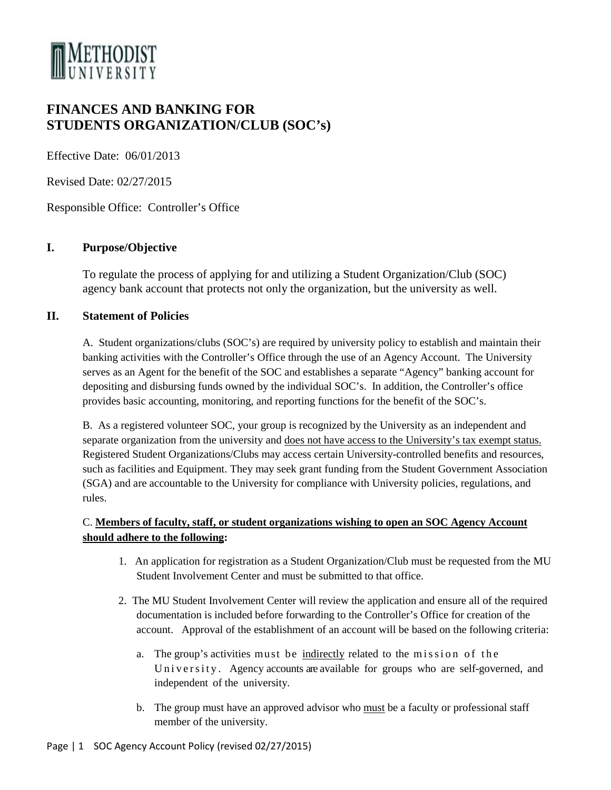

# **FINANCES AND BANKING FOR STUDENTS ORGANIZATION/CLUB (SOC's)**

Effective Date: 06/01/2013

Revised Date: 02/27/2015

Responsible Office: Controller's Office

## **I. Purpose/Objective**

To regulate the process of applying for and utilizing a Student Organization/Club (SOC) agency bank account that protects not only the organization, but the university as well.

#### **II. Statement of Policies**

A. Student organizations/clubs (SOC's) are required by university policy to establish and maintain their banking activities with the Controller's Office through the use of an Agency Account. The University serves as an Agent for the benefit of the SOC and establishes a separate "Agency" banking account for depositing and disbursing funds owned by the individual SOC's. In addition, the Controller's office provides basic accounting, monitoring, and reporting functions for the benefit of the SOC's.

B. As a registered volunteer SOC, your group is recognized by the University as an independent and separate organization from the university and does not have access to the University's tax exempt status. Registered Student Organizations/Clubs may access certain University-controlled benefits and resources, such as facilities and Equipment. They may seek grant funding from the Student Government Association (SGA) and are accountable to the University for compliance with University policies, regulations, and rules.

## C. **Members of faculty, staff, or student organizations wishing to open an SOC Agency Account should adhere to the following:**

- 1. An application for registration as a Student Organization/Club must be requested from the MU Student Involvement Center and must be submitted to that office.
- 2. The MU Student Involvement Center will review the application and ensure all of the required documentation is included before forwarding to the Controller's Office for creation of the account. Approval of the establishment of an account will be based on the following criteria:
	- a. The group's activities must be indirectly related to the mission of the University . Agency accounts are available for groups who are self-governed, and independent of the university.
	- b. The group must have an approved advisor who must be a faculty or professional staff member of the university.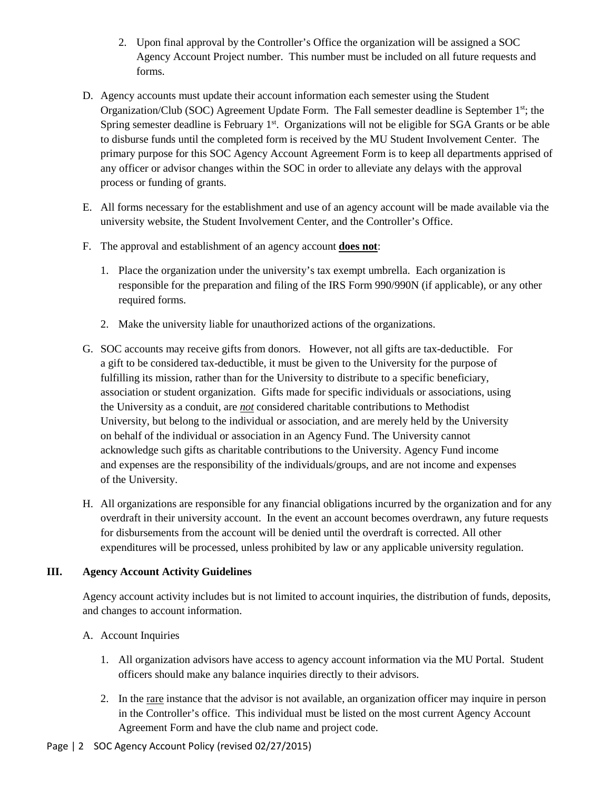- 2. Upon final approval by the Controller's Office the organization will be assigned a SOC Agency Account Project number. This number must be included on all future requests and forms.
- D. Agency accounts must update their account information each semester using the Student Organization/Club (SOC) Agreement Update Form. The Fall semester deadline is September  $1<sup>st</sup>$ ; the Spring semester deadline is February  $1<sup>st</sup>$ . Organizations will not be eligible for SGA Grants or be able to disburse funds until the completed form is received by the MU Student Involvement Center. The primary purpose for this SOC Agency Account Agreement Form is to keep all departments apprised of any officer or advisor changes within the SOC in order to alleviate any delays with the approval process or funding of grants.
- E. All forms necessary for the establishment and use of an agency account will be made available via the university website, the Student Involvement Center, and the Controller's Office.
- F. The approval and establishment of an agency account **does not**:
	- 1. Place the organization under the university's tax exempt umbrella. Each organization is responsible for the preparation and filing of the IRS Form 990/990N (if applicable), or any other required forms.
	- 2. Make the university liable for unauthorized actions of the organizations.
- G. SOC accounts may receive gifts from donors. However, not all gifts are tax-deductible. For a gift to be considered tax-deductible, it must be given to the University for the purpose of fulfilling its mission, rather than for the University to distribute to a specific beneficiary, association or student organization. Gifts made for specific individuals or associations, using the University as a conduit, are *not* considered charitable contributions to Methodist University, but belong to the individual or association, and are merely held by the University on behalf of the individual or association in an Agency Fund. The University cannot acknowledge such gifts as charitable contributions to the University. Agency Fund income and expenses are the responsibility of the individuals/groups, and are not income and expenses of the University.
- H. All organizations are responsible for any financial obligations incurred by the organization and for any overdraft in their university account. In the event an account becomes overdrawn, any future requests for disbursements from the account will be denied until the overdraft is corrected. All other expenditures will be processed, unless prohibited by law or any applicable university regulation.

#### **III. Agency Account Activity Guidelines**

Agency account activity includes but is not limited to account inquiries, the distribution of funds, deposits, and changes to account information.

- A. Account Inquiries
	- 1. All organization advisors have access to agency account information via the MU Portal. Student officers should make any balance inquiries directly to their advisors.
	- 2. In the rare instance that the advisor is not available, an organization officer may inquire in person in the Controller's office. This individual must be listed on the most current Agency Account Agreement Form and have the club name and project code.
- Page | 2 SOC Agency Account Policy (revised 02/27/2015)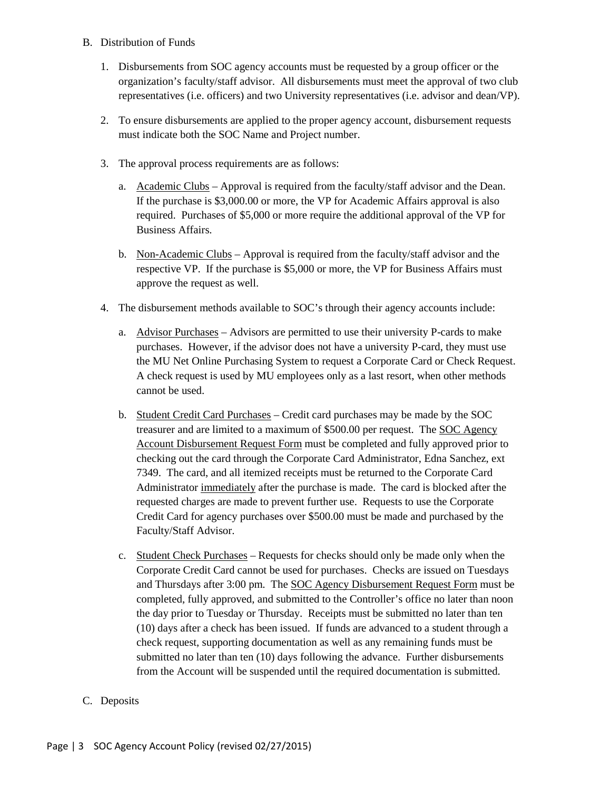- B. Distribution of Funds
	- 1. Disbursements from SOC agency accounts must be requested by a group officer or the organization's faculty/staff advisor. All disbursements must meet the approval of two club representatives (i.e. officers) and two University representatives (i.e. advisor and dean/VP).
	- 2. To ensure disbursements are applied to the proper agency account, disbursement requests must indicate both the SOC Name and Project number.
	- 3. The approval process requirements are as follows:
		- a. Academic Clubs Approval is required from the faculty/staff advisor and the Dean. If the purchase is \$3,000.00 or more, the VP for Academic Affairs approval is also required. Purchases of \$5,000 or more require the additional approval of the VP for Business Affairs.
		- b. Non-Academic Clubs Approval is required from the faculty/staff advisor and the respective VP. If the purchase is \$5,000 or more, the VP for Business Affairs must approve the request as well.
	- 4. The disbursement methods available to SOC's through their agency accounts include:
		- a. Advisor Purchases Advisors are permitted to use their university P-cards to make purchases. However, if the advisor does not have a university P-card, they must use the MU Net Online Purchasing System to request a Corporate Card or Check Request. A check request is used by MU employees only as a last resort, when other methods cannot be used.
		- b. Student Credit Card Purchases Credit card purchases may be made by the SOC treasurer and are limited to a maximum of \$500.00 per request. The SOC Agency Account Disbursement Request Form must be completed and fully approved prior to checking out the card through the Corporate Card Administrator, Edna Sanchez, ext 7349. The card, and all itemized receipts must be returned to the Corporate Card Administrator immediately after the purchase is made. The card is blocked after the requested charges are made to prevent further use. Requests to use the Corporate Credit Card for agency purchases over \$500.00 must be made and purchased by the Faculty/Staff Advisor.
		- c. Student Check Purchases Requests for checks should only be made only when the Corporate Credit Card cannot be used for purchases. Checks are issued on Tuesdays and Thursdays after 3:00 pm. The SOC Agency Disbursement Request Form must be completed, fully approved, and submitted to the Controller's office no later than noon the day prior to Tuesday or Thursday. Receipts must be submitted no later than ten (10) days after a check has been issued. If funds are advanced to a student through a check request, supporting documentation as well as any remaining funds must be submitted no later than ten (10) days following the advance. Further disbursements from the Account will be suspended until the required documentation is submitted.
- C. Deposits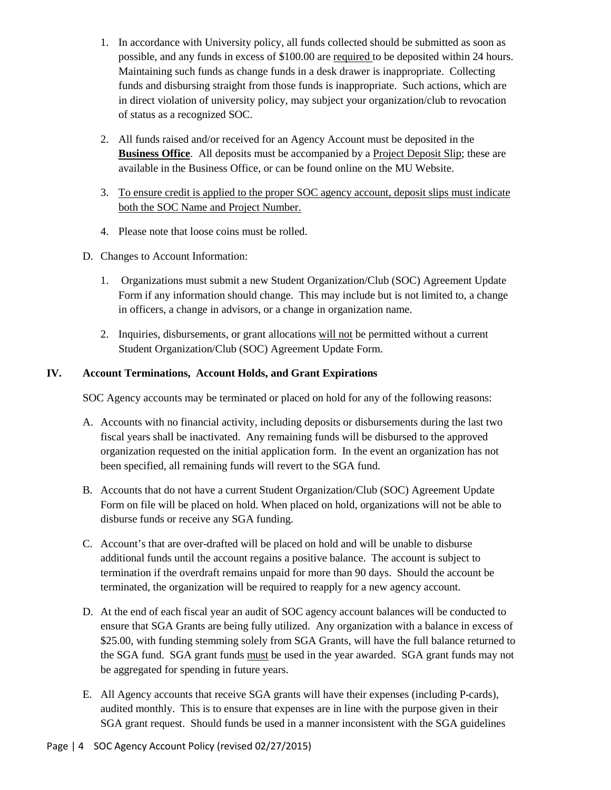- 1. In accordance with University policy, all funds collected should be submitted as soon as possible, and any funds in excess of \$100.00 are required to be deposited within 24 hours. Maintaining such funds as change funds in a desk drawer is inappropriate. Collecting funds and disbursing straight from those funds is inappropriate. Such actions, which are in direct violation of university policy, may subject your organization/club to revocation of status as a recognized SOC.
- 2. All funds raised and/or received for an Agency Account must be deposited in the **Business Office**. All deposits must be accompanied by a Project Deposit Slip; these are available in the Business Office, or can be found online on the MU Website.
- 3. To ensure credit is applied to the proper SOC agency account, deposit slips must indicate both the SOC Name and Project Number.
- 4. Please note that loose coins must be rolled.
- D. Changes to Account Information:
	- 1. Organizations must submit a new Student Organization/Club (SOC) Agreement Update Form if any information should change. This may include but is not limited to, a change in officers, a change in advisors, or a change in organization name.
	- 2. Inquiries, disbursements, or grant allocations will not be permitted without a current Student Organization/Club (SOC) Agreement Update Form.

## **IV. Account Terminations, Account Holds, and Grant Expirations**

SOC Agency accounts may be terminated or placed on hold for any of the following reasons:

- A. Accounts with no financial activity, including deposits or disbursements during the last two fiscal years shall be inactivated. Any remaining funds will be disbursed to the approved organization requested on the initial application form. In the event an organization has not been specified, all remaining funds will revert to the SGA fund.
- B. Accounts that do not have a current Student Organization/Club (SOC) Agreement Update Form on file will be placed on hold. When placed on hold, organizations will not be able to disburse funds or receive any SGA funding.
- C. Account's that are over-drafted will be placed on hold and will be unable to disburse additional funds until the account regains a positive balance. The account is subject to termination if the overdraft remains unpaid for more than 90 days. Should the account be terminated, the organization will be required to reapply for a new agency account.
- D. At the end of each fiscal year an audit of SOC agency account balances will be conducted to ensure that SGA Grants are being fully utilized. Any organization with a balance in excess of \$25.00, with funding stemming solely from SGA Grants, will have the full balance returned to the SGA fund. SGA grant funds must be used in the year awarded. SGA grant funds may not be aggregated for spending in future years.
- E. All Agency accounts that receive SGA grants will have their expenses (including P-cards), audited monthly. This is to ensure that expenses are in line with the purpose given in their SGA grant request. Should funds be used in a manner inconsistent with the SGA guidelines